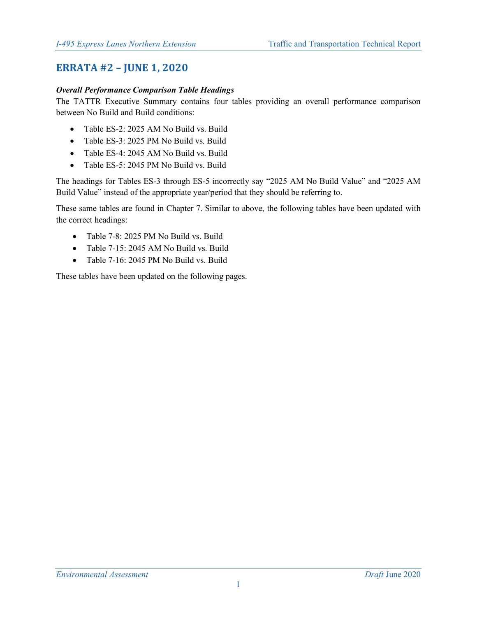# **ERRATA #2 – JUNE 1, 2020**

### *Overall Performance Comparison Table Headings*

The TATTR Executive Summary contains four tables providing an overall performance comparison between No Build and Build conditions:

- Table ES-2: 2025 AM No Build vs. Build
- Table ES-3: 2025 PM No Build vs. Build
- Table ES-4: 2045 AM No Build vs. Build
- Table ES-5: 2045 PM No Build vs. Build

The headings for Tables ES-3 through ES-5 incorrectly say "2025 AM No Build Value" and "2025 AM Build Value" instead of the appropriate year/period that they should be referring to.

These same tables are found in Chapter 7. Similar to above, the following tables have been updated with the correct headings:

- Table 7-8: 2025 PM No Build vs. Build
- Table 7-15: 2045 AM No Build vs. Build
- Table 7-16: 2045 PM No Build vs. Build

These tables have been updated on the following pages.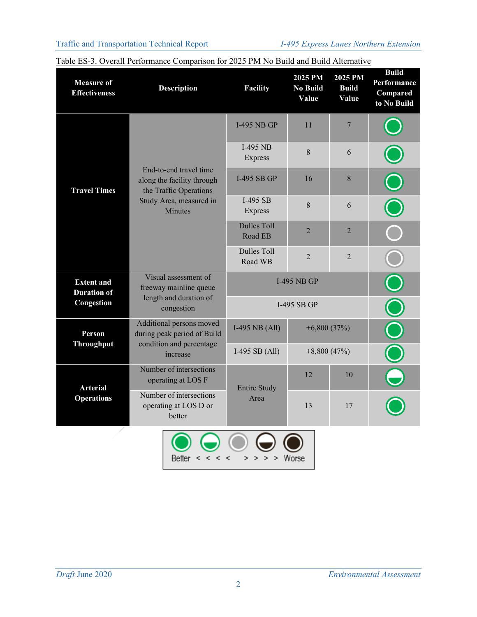| <b>Measure of</b><br><b>Effectiveness</b> | <b>Description</b>                                                                     | Facility                                        | 2025 PM<br><b>No Build</b><br>Value | 2025 PM<br><b>Build</b><br>Value | <b>Build</b><br>Performance<br>Compared<br>to No Build |
|-------------------------------------------|----------------------------------------------------------------------------------------|-------------------------------------------------|-------------------------------------|----------------------------------|--------------------------------------------------------|
|                                           |                                                                                        | <b>I-495 NB GP</b>                              | 11                                  | $\overline{7}$                   |                                                        |
|                                           |                                                                                        | I-495 NB<br>Express                             | 8                                   | 6                                |                                                        |
| <b>Travel Times</b>                       | End-to-end travel time<br>along the facility through<br>the Traffic Operations         | I-495 SB GP                                     | 16                                  | 8                                |                                                        |
|                                           | Study Area, measured in<br>Minutes                                                     | I-495 SB<br>Express                             | 8                                   | 6                                |                                                        |
|                                           |                                                                                        | <b>Dulles Toll</b><br>Road EB                   | $\overline{2}$                      | $\overline{2}$                   |                                                        |
|                                           |                                                                                        | <b>Dulles Toll</b><br>Road WB                   | $\overline{2}$                      | $\overline{2}$                   |                                                        |
| <b>Extent and</b><br><b>Duration of</b>   | Visual assessment of<br>freeway mainline queue<br>length and duration of<br>congestion | <b>I-495 NB GP</b>                              |                                     |                                  |                                                        |
| Congestion                                |                                                                                        | I-495 SB GP                                     |                                     |                                  |                                                        |
| Person<br><b>Throughput</b>               | Additional persons moved<br>during peak period of Build                                | I-495 NB $(All)$                                | $+6,800(37%)$                       |                                  | T                                                      |
|                                           | condition and percentage<br>increase                                                   | I-495 SB $(All)$                                | $+8,800(47%)$                       |                                  |                                                        |
| <b>Arterial</b><br><b>Operations</b>      | Number of intersections<br>operating at LOS F                                          | <b>Entire Study</b>                             | 12                                  | 10                               |                                                        |
|                                           | Number of intersections<br>operating at LOS D or<br>better                             | Area                                            | 13                                  | 17                               |                                                        |
|                                           | Better<br>$\lt$ $\lt$<br>≺                                                             | $\geq$<br>$\prec$<br>$\geq$<br>$\geq$<br>$\geq$ | Worse                               |                                  |                                                        |

| Table ES-3. Overall Performance Comparison for 2025 PM No Build and Build Alternative |
|---------------------------------------------------------------------------------------|
|                                                                                       |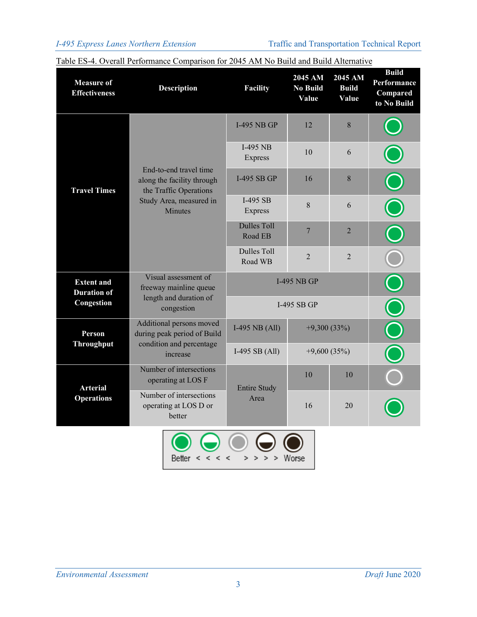| <b>Measure of</b><br><b>Effectiveness</b> | <b>Description</b>                                                                     | Facility                       | 2045 AM<br><b>No Build</b><br>Value | 2045 AM<br><b>Build</b><br>Value | <b>Build</b><br>Performance<br>Compared<br>to No Build |
|-------------------------------------------|----------------------------------------------------------------------------------------|--------------------------------|-------------------------------------|----------------------------------|--------------------------------------------------------|
|                                           |                                                                                        | <b>I-495 NB GP</b>             | 12                                  | 8                                |                                                        |
|                                           |                                                                                        | I-495 NB<br>Express            | 10                                  | 6                                |                                                        |
| <b>Travel Times</b>                       | End-to-end travel time<br>along the facility through<br>the Traffic Operations         | I-495 SB GP                    | 16                                  | 8                                |                                                        |
|                                           | Study Area, measured in<br><b>Minutes</b>                                              | $I-495$ SB<br>Express          | 8                                   | 6                                |                                                        |
|                                           |                                                                                        | <b>Dulles Toll</b><br>Road EB  | 7                                   | $\overline{2}$                   |                                                        |
|                                           |                                                                                        | <b>Dulles Toll</b><br>Road WB  | $\overline{2}$                      | $\overline{2}$                   |                                                        |
| <b>Extent and</b><br><b>Duration of</b>   | Visual assessment of<br>freeway mainline queue<br>length and duration of<br>congestion | <b>I-495 NB GP</b>             |                                     |                                  |                                                        |
| Congestion                                |                                                                                        | I-495 SB GP                    |                                     |                                  |                                                        |
| Person<br><b>Throughput</b>               | Additional persons moved<br>during peak period of Build                                | I-495 NB $(All)$               | $+9,300(33%)$                       |                                  |                                                        |
|                                           | condition and percentage<br>increase                                                   | I-495 SB $(All)$               | $+9,600(35%)$                       |                                  |                                                        |
| <b>Arterial</b><br><b>Operations</b>      | Number of intersections<br>operating at LOS F                                          | <b>Entire Study</b>            | 10                                  | 10                               |                                                        |
|                                           | Number of intersections<br>operating at LOS D or<br>better                             | Area                           | 16                                  | 20                               |                                                        |
|                                           | $<$ < <<br>Better                                                                      | ς<br>$\geq$<br>$>$ ><br>$\geq$ | Worse                               |                                  |                                                        |

### Table ES-4. Overall Performance Comparison for 2045 AM No Build and Build Alternative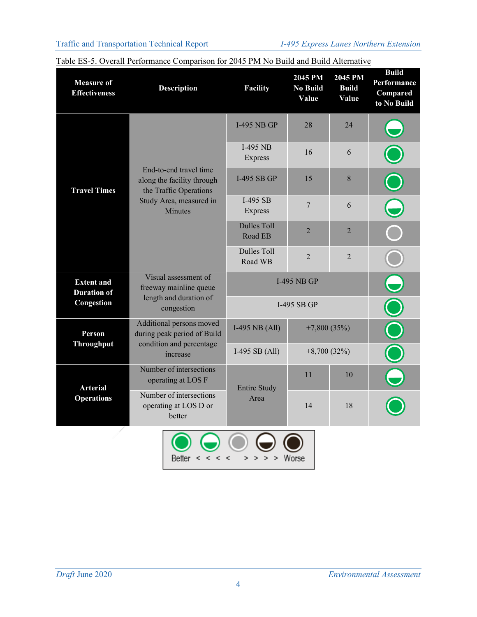| <b>Measure of</b><br><b>Effectiveness</b> | <b>Description</b>                                                                     | Facility                                        | 2045 PM<br><b>No Build</b><br>Value | 2045 PM<br><b>Build</b><br>Value | <b>Build</b><br>Performance<br>Compared<br>to No Build |
|-------------------------------------------|----------------------------------------------------------------------------------------|-------------------------------------------------|-------------------------------------|----------------------------------|--------------------------------------------------------|
|                                           |                                                                                        | <b>I-495 NB GP</b>                              | 28                                  | 24                               |                                                        |
|                                           |                                                                                        | $I-495$ NB<br>Express                           | 16                                  | 6                                |                                                        |
| <b>Travel Times</b>                       | End-to-end travel time<br>along the facility through<br>the Traffic Operations         | I-495 SB GP                                     | 15                                  | 8                                |                                                        |
|                                           | Study Area, measured in<br>Minutes                                                     | $I-495$ SB<br>Express                           | $\overline{7}$                      | 6                                |                                                        |
|                                           |                                                                                        | <b>Dulles Toll</b><br>Road EB                   | $\overline{2}$                      | $\overline{2}$                   |                                                        |
|                                           |                                                                                        | <b>Dulles Toll</b><br>Road WB                   | $\overline{2}$                      | $\overline{2}$                   |                                                        |
| <b>Extent and</b><br><b>Duration of</b>   | Visual assessment of<br>freeway mainline queue<br>length and duration of<br>congestion | <b>I-495 NB GP</b>                              |                                     |                                  |                                                        |
| Congestion                                |                                                                                        | I-495 SB GP                                     |                                     |                                  |                                                        |
| Person<br><b>Throughput</b>               | Additional persons moved<br>during peak period of Build                                | I-495 NB (All)                                  | $+7,800(35%)$                       |                                  | $\bigcap$                                              |
|                                           | condition and percentage<br>increase                                                   | I-495 SB $(All)$                                | $+8,700(32%)$                       |                                  |                                                        |
| <b>Arterial</b><br><b>Operations</b>      | Number of intersections<br>operating at LOS F                                          | <b>Entire Study</b>                             | 11                                  | 10                               |                                                        |
|                                           | Number of intersections<br>operating at LOS D or<br>better                             | Area                                            | 14                                  | 18                               |                                                        |
|                                           | Better<br>$\lt$ $\lt$<br>≺                                                             | $\geq$<br>$\prec$<br>$\geq$<br>$\geq$<br>$\geq$ | Worse                               |                                  |                                                        |

|--|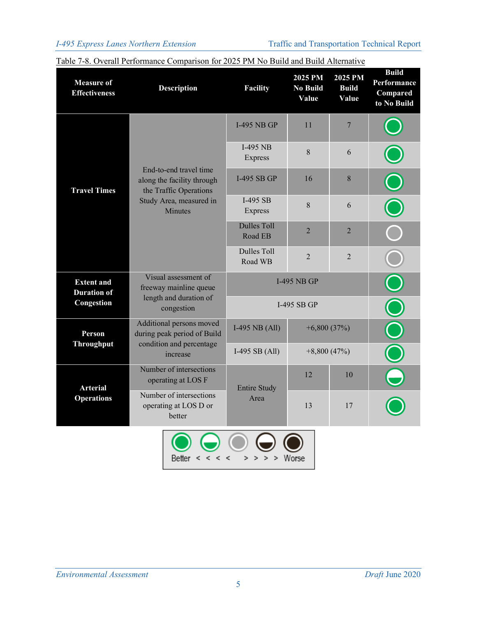| <b>Measure of</b><br><b>Effectiveness</b> | <b>Description</b>                                                                                                   | <b>Facility</b>               | 2025 PM<br><b>No Build</b><br>Value | 2025 PM<br><b>Build</b><br>Value | <b>Build</b><br>Performance<br>Compared<br>to No Build |
|-------------------------------------------|----------------------------------------------------------------------------------------------------------------------|-------------------------------|-------------------------------------|----------------------------------|--------------------------------------------------------|
|                                           |                                                                                                                      | <b>I-495 NB GP</b>            | 11                                  | $\overline{7}$                   |                                                        |
|                                           | End-to-end travel time                                                                                               | $I-495$ NB<br>Express         | 8                                   | 6                                |                                                        |
| <b>Travel Times</b>                       | along the facility through<br>the Traffic Operations                                                                 | <b>I-495 SB GP</b>            | 16                                  | 8                                |                                                        |
|                                           | Study Area, measured in<br><b>Minutes</b>                                                                            | I-495 SB<br>Express           | 8                                   | 6                                |                                                        |
|                                           |                                                                                                                      | <b>Dulles Toll</b><br>Road EB | $\overline{2}$                      | $\overline{2}$                   |                                                        |
|                                           |                                                                                                                      | <b>Dulles Toll</b><br>Road WB | $\overline{2}$                      | $\overline{2}$                   |                                                        |
| <b>Extent and</b><br><b>Duration</b> of   | Visual assessment of<br>freeway mainline queue<br>length and duration of<br>congestion                               | <b>I-495 NB GP</b>            |                                     |                                  |                                                        |
| Congestion                                |                                                                                                                      | I-495 SB GP                   |                                     |                                  |                                                        |
| Person                                    | Additional persons moved<br>during peak period of Build<br><b>Throughput</b><br>condition and percentage<br>increase | I-495 NB $(All)$              | $+6,800(37%)$                       |                                  |                                                        |
|                                           |                                                                                                                      | I-495 SB $(All)$              | $+8,800(47%)$                       |                                  |                                                        |
| <b>Arterial</b><br><b>Operations</b>      | Number of intersections<br>operating at LOS F                                                                        | <b>Entire Study</b>           | 12                                  | 10                               |                                                        |
|                                           | Number of intersections<br>operating at LOS D or<br>better                                                           | Area                          | 13                                  | 17                               |                                                        |
|                                           |                                                                                                                      |                               |                                     |                                  |                                                        |

#### Table 7-8. Overall Performance Comparison for 2025 PM No Build and Build Alternative

Better  $\lt$   $\lt$   $\lt$ 

 $>$  > > > Worse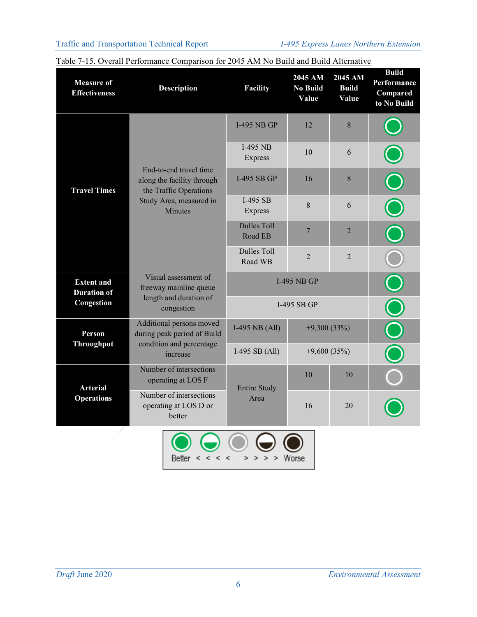| <b>Measure of</b><br><b>Effectiveness</b> | <b>Description</b>                                                                     | Facility                                                     | 2045 AM<br><b>No Build</b><br>Value | 2045 AM<br><b>Build</b><br>Value | <b>Build</b><br>Performance<br>Compared<br>to No Build |
|-------------------------------------------|----------------------------------------------------------------------------------------|--------------------------------------------------------------|-------------------------------------|----------------------------------|--------------------------------------------------------|
|                                           |                                                                                        | <b>I-495 NB GP</b>                                           | 12                                  | 8                                |                                                        |
|                                           |                                                                                        | $I-495$ NB<br>Express                                        | 10                                  | 6                                |                                                        |
| <b>Travel Times</b>                       | End-to-end travel time<br>along the facility through<br>the Traffic Operations         | <b>I-495 SB GP</b>                                           | 16                                  | 8                                |                                                        |
|                                           | Study Area, measured in<br>Minutes                                                     | $I-495$ SB<br>Express                                        | 8                                   | 6                                |                                                        |
|                                           |                                                                                        | <b>Dulles Toll</b><br>Road EB                                | 7                                   | $\overline{2}$                   |                                                        |
|                                           |                                                                                        | <b>Dulles Toll</b><br>Road WB                                | $\overline{2}$                      | $\overline{2}$                   |                                                        |
| <b>Extent and</b><br><b>Duration of</b>   | Visual assessment of<br>freeway mainline queue<br>length and duration of<br>congestion | <b>I-495 NB GP</b>                                           |                                     |                                  |                                                        |
| Congestion                                |                                                                                        | <b>I-495 SB GP</b>                                           |                                     |                                  |                                                        |
| Person                                    | Additional persons moved<br>during peak period of Build                                | I-495 NB $(All)$                                             | $+9,300(33%)$                       |                                  | Ŏ                                                      |
| <b>Throughput</b>                         | condition and percentage<br>increase                                                   | I-495 SB $(All)$                                             | $+9,600(35%)$                       |                                  |                                                        |
| <b>Arterial</b><br><b>Operations</b>      | Number of intersections<br>operating at LOS F                                          | <b>Entire Study</b>                                          | 10                                  | 10                               |                                                        |
|                                           | Number of intersections<br>operating at LOS D or<br>better                             | Area                                                         | 16                                  | 20                               |                                                        |
|                                           | Better<br>$\lt$ $\lt$<br>≺                                                             | $\geq$<br>$\tilde{\mathbf{z}}$<br>$\geq$<br>$\geq$<br>$\geq$ | Worse                               |                                  |                                                        |

| Table 7-15. Overall Performance Comparison for 2045 AM No Build and Build Alternative |
|---------------------------------------------------------------------------------------|
|                                                                                       |